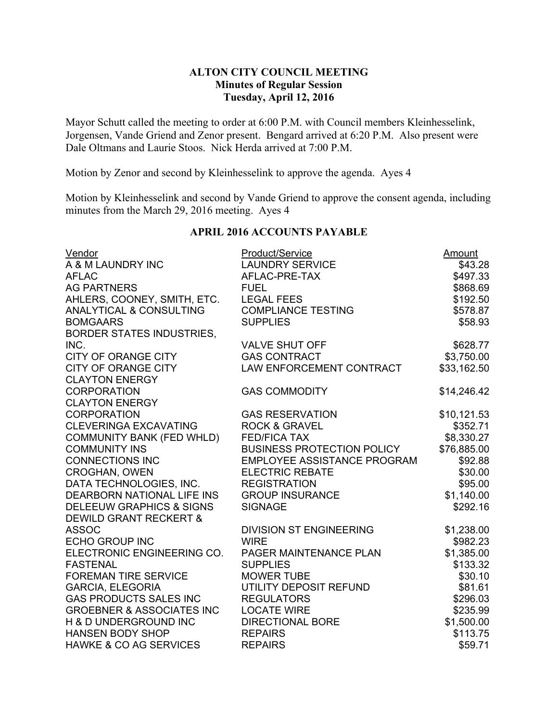# **ALTON CITY COUNCIL MEETING Minutes of Regular Session Tuesday, April 12, 2016**

Mayor Schutt called the meeting to order at 6:00 P.M. with Council members Kleinhesselink, Jorgensen, Vande Griend and Zenor present. Bengard arrived at 6:20 P.M. Also present were Dale Oltmans and Laurie Stoos. Nick Herda arrived at 7:00 P.M.

Motion by Zenor and second by Kleinhesselink to approve the agenda. Ayes 4

Motion by Kleinhesselink and second by Vande Griend to approve the consent agenda, including minutes from the March 29, 2016 meeting. Ayes 4

| Vendor                               | Product/Service                    | Amount      |
|--------------------------------------|------------------------------------|-------------|
| A & M LAUNDRY INC                    | <b>LAUNDRY SERVICE</b>             | \$43.28     |
| <b>AFLAC</b>                         | AFLAC-PRE-TAX                      | \$497.33    |
| <b>AG PARTNERS</b>                   | <b>FUEL</b>                        | \$868.69    |
| AHLERS, COONEY, SMITH, ETC.          | <b>LEGAL FEES</b>                  | \$192.50    |
| ANALYTICAL & CONSULTING              | <b>COMPLIANCE TESTING</b>          | \$578.87    |
| <b>BOMGAARS</b>                      | <b>SUPPLIES</b>                    | \$58.93     |
| <b>BORDER STATES INDUSTRIES,</b>     |                                    |             |
| INC.                                 | <b>VALVE SHUT OFF</b>              | \$628.77    |
| <b>CITY OF ORANGE CITY</b>           | <b>GAS CONTRACT</b>                | \$3,750.00  |
| <b>CITY OF ORANGE CITY</b>           | LAW ENFORCEMENT CONTRACT           | \$33,162.50 |
| <b>CLAYTON ENERGY</b>                |                                    |             |
| <b>CORPORATION</b>                   | <b>GAS COMMODITY</b>               | \$14,246.42 |
| <b>CLAYTON ENERGY</b>                |                                    |             |
| <b>CORPORATION</b>                   | <b>GAS RESERVATION</b>             | \$10,121.53 |
| <b>CLEVERINGA EXCAVATING</b>         | <b>ROCK &amp; GRAVEL</b>           | \$352.71    |
| <b>COMMUNITY BANK (FED WHLD)</b>     | <b>FED/FICA TAX</b>                | \$8,330.27  |
| <b>COMMUNITY INS</b>                 | <b>BUSINESS PROTECTION POLICY</b>  | \$76,885.00 |
| <b>CONNECTIONS INC</b>               | <b>EMPLOYEE ASSISTANCE PROGRAM</b> | \$92.88     |
| <b>CROGHAN, OWEN</b>                 | <b>ELECTRIC REBATE</b>             | \$30.00     |
| DATA TECHNOLOGIES, INC.              | <b>REGISTRATION</b>                | \$95.00     |
| <b>DEARBORN NATIONAL LIFE INS</b>    | <b>GROUP INSURANCE</b>             | \$1,140.00  |
| <b>DELEEUW GRAPHICS &amp; SIGNS</b>  | <b>SIGNAGE</b>                     | \$292.16    |
| <b>DEWILD GRANT RECKERT &amp;</b>    |                                    |             |
| <b>ASSOC</b>                         | <b>DIVISION ST ENGINEERING</b>     | \$1,238.00  |
| <b>ECHO GROUP INC</b>                | <b>WIRE</b>                        | \$982.23    |
| ELECTRONIC ENGINEERING CO.           | PAGER MAINTENANCE PLAN             | \$1,385.00  |
| <b>FASTENAL</b>                      | <b>SUPPLIES</b>                    | \$133.32    |
| <b>FOREMAN TIRE SERVICE</b>          | <b>MOWER TUBE</b>                  | \$30.10     |
| <b>GARCIA, ELEGORIA</b>              | UTILITY DEPOSIT REFUND             | \$81.61     |
| <b>GAS PRODUCTS SALES INC</b>        | <b>REGULATORS</b>                  | \$296.03    |
| <b>GROEBNER &amp; ASSOCIATES INC</b> | <b>LOCATE WIRE</b>                 | \$235.99    |
| H & D UNDERGROUND INC                | <b>DIRECTIONAL BORE</b>            | \$1,500.00  |
| <b>HANSEN BODY SHOP</b>              | <b>REPAIRS</b>                     | \$113.75    |
| <b>HAWKE &amp; CO AG SERVICES</b>    | <b>REPAIRS</b>                     | \$59.71     |

## **APRIL 2016 ACCOUNTS PAYABLE**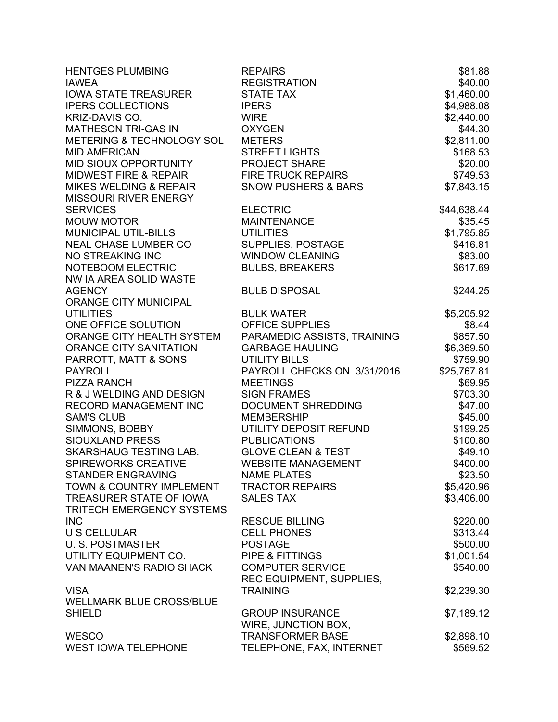| <b>HENTGES PLUMBING</b>             | <b>REPAIRS</b>                 | \$81.88     |
|-------------------------------------|--------------------------------|-------------|
| <b>IAWEA</b>                        | <b>REGISTRATION</b>            | \$40.00     |
| <b>IOWA STATE TREASURER</b>         | <b>STATE TAX</b>               | \$1,460.00  |
| <b>IPERS COLLECTIONS</b>            | <b>IPERS</b>                   | \$4,988.08  |
| KRIZ-DAVIS CO.                      | <b>WIRE</b>                    | \$2,440.00  |
| MATHESON TRI-GAS IN                 | <b>OXYGEN</b>                  | \$44.30     |
| METERING & TECHNOLOGY SOL           | <b>METERS</b>                  | \$2,811.00  |
| <b>MID AMERICAN</b>                 | <b>STREET LIGHTS</b>           | \$168.53    |
| MID SIOUX OPPORTUNITY               | <b>PROJECT SHARE</b>           | \$20.00     |
| MIDWEST FIRE & REPAIR               | <b>FIRE TRUCK REPAIRS</b>      | \$749.53    |
| <b>MIKES WELDING &amp; REPAIR</b>   | <b>SNOW PUSHERS &amp; BARS</b> | \$7,843.15  |
| <b>MISSOURI RIVER ENERGY</b>        |                                |             |
| <b>SERVICES</b>                     | <b>ELECTRIC</b>                | \$44,638.44 |
| <b>MOUW MOTOR</b>                   | <b>MAINTENANCE</b>             | \$35.45     |
| MUNICIPAL UTIL-BILLS                | <b>UTILITIES</b>               | \$1,795.85  |
| NEAL CHASE LUMBER CO                | SUPPLIES, POSTAGE              | \$416.81    |
| NO STREAKING INC                    | <b>WINDOW CLEANING</b>         | \$83.00     |
| NOTEBOOM ELECTRIC                   | <b>BULBS, BREAKERS</b>         | \$617.69    |
| NW IA AREA SOLID WASTE              |                                |             |
| <b>AGENCY</b>                       | <b>BULB DISPOSAL</b>           | \$244.25    |
| ORANGE CITY MUNICIPAL               |                                |             |
| <b>UTILITIES</b>                    | <b>BULK WATER</b>              | \$5,205.92  |
| ONE OFFICE SOLUTION                 | <b>OFFICE SUPPLIES</b>         | \$8.44      |
| ORANGE CITY HEALTH SYSTEM           | PARAMEDIC ASSISTS, TRAINING    | \$857.50    |
| ORANGE CITY SANITATION              | <b>GARBAGE HAULING</b>         | \$6,369.50  |
| PARROTT, MATT & SONS                | <b>UTILITY BILLS</b>           | \$759.90    |
| <b>PAYROLL</b>                      | PAYROLL CHECKS ON 3/31/2016    | \$25,767.81 |
| <b>PIZZA RANCH</b>                  | <b>MEETINGS</b>                | \$69.95     |
| R & J WELDING AND DESIGN            | <b>SIGN FRAMES</b>             | \$703.30    |
| RECORD MANAGEMENT INC               | <b>DOCUMENT SHREDDING</b>      | \$47.00     |
| <b>SAM'S CLUB</b>                   | <b>MEMBERSHIP</b>              | \$45.00     |
| SIMMONS, BOBBY                      | UTILITY DEPOSIT REFUND         | \$199.25    |
| SIOUXLAND PRESS                     | <b>PUBLICATIONS</b>            | \$100.80    |
| SKARSHAUG TESTING LAB.              | <b>GLOVE CLEAN &amp; TEST</b>  | \$49.10     |
| SPIREWORKS CREATIVE                 | <b>WEBSITE MANAGEMENT</b>      | \$400.00    |
| STANDER ENGRAVING                   | <b>NAME PLATES</b>             | \$23.50     |
| <b>TOWN &amp; COUNTRY IMPLEMENT</b> | <b>TRACTOR REPAIRS</b>         | \$5,420.96  |
| TREASURER STATE OF IOWA             | <b>SALES TAX</b>               | \$3,406.00  |
| TRITECH EMERGENCY SYSTEMS           |                                |             |
| <b>INC</b>                          | <b>RESCUE BILLING</b>          | \$220.00    |
| <b>U S CELLULAR</b>                 | <b>CELL PHONES</b>             | \$313.44    |
| U. S. POSTMASTER                    | <b>POSTAGE</b>                 | \$500.00    |
| UTILITY EQUIPMENT CO.               | <b>PIPE &amp; FITTINGS</b>     | \$1,001.54  |
| VAN MAANEN'S RADIO SHACK            | <b>COMPUTER SERVICE</b>        | \$540.00    |
|                                     | REC EQUIPMENT, SUPPLIES,       |             |
| <b>VISA</b>                         | <b>TRAINING</b>                | \$2,239.30  |
| <b>WELLMARK BLUE CROSS/BLUE</b>     |                                |             |
| <b>SHIELD</b>                       | <b>GROUP INSURANCE</b>         | \$7,189.12  |
|                                     | WIRE, JUNCTION BOX,            |             |
| <b>WESCO</b>                        | <b>TRANSFORMER BASE</b>        | \$2,898.10  |
| <b>WEST IOWA TELEPHONE</b>          | TELEPHONE, FAX, INTERNET       | \$569.52    |
|                                     |                                |             |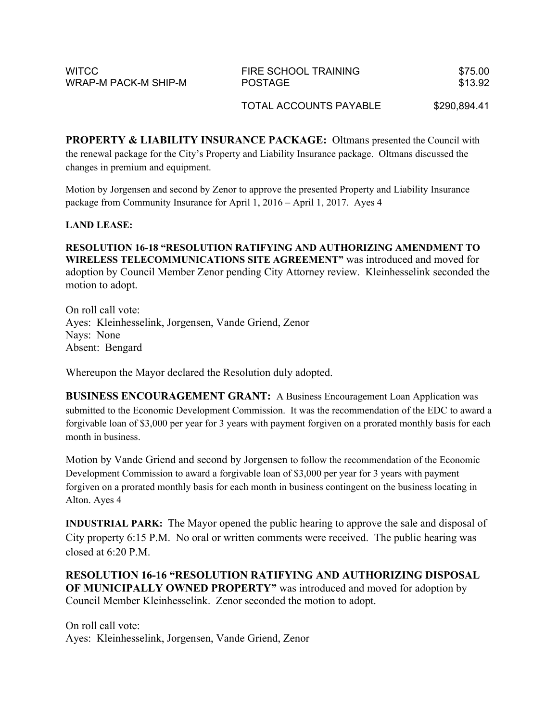| <b>WITCC</b>         | FIRE SCHOOL TRAINING | \$75.00 |
|----------------------|----------------------|---------|
| WRAP-M PACK-M SHIP-M | <b>POSTAGE</b>       | \$13.92 |

TOTAL ACCOUNTS PAYABLE \$290,894.41

**PROPERTY & LIABILITY INSURANCE PACKAGE:** Oltmans presented the Council with the renewal package for the City's Property and Liability Insurance package. Oltmans discussed the changes in premium and equipment.

Motion by Jorgensen and second by Zenor to approve the presented Property and Liability Insurance package from Community Insurance for April 1, 2016 – April 1, 2017. Ayes 4

### **LAND LEASE:**

**RESOLUTION 16-18 "RESOLUTION RATIFYING AND AUTHORIZING AMENDMENT TO WIRELESS TELECOMMUNICATIONS SITE AGREEMENT"** was introduced and moved for adoption by Council Member Zenor pending City Attorney review. Kleinhesselink seconded the motion to adopt.

On roll call vote: Ayes: Kleinhesselink, Jorgensen, Vande Griend, Zenor Nays: None Absent: Bengard

Whereupon the Mayor declared the Resolution duly adopted.

**BUSINESS ENCOURAGEMENT GRANT:** A Business Encouragement Loan Application was submitted to the Economic Development Commission. It was the recommendation of the EDC to award a forgivable loan of \$3,000 per year for 3 years with payment forgiven on a prorated monthly basis for each month in business.

Motion by Vande Griend and second by Jorgensen to follow the recommendation of the Economic Development Commission to award a forgivable loan of \$3,000 per year for 3 years with payment forgiven on a prorated monthly basis for each month in business contingent on the business locating in Alton. Ayes 4

**INDUSTRIAL PARK:** The Mayor opened the public hearing to approve the sale and disposal of City property 6:15 P.M. No oral or written comments were received. The public hearing was closed at  $6:20 \text{ P.M.}$ 

**RESOLUTION 16-16 "RESOLUTION RATIFYING AND AUTHORIZING DISPOSAL OF MUNICIPALLY OWNED PROPERTY"** was introduced and moved for adoption by Council Member Kleinhesselink. Zenor seconded the motion to adopt.

On roll call vote: Ayes: Kleinhesselink, Jorgensen, Vande Griend, Zenor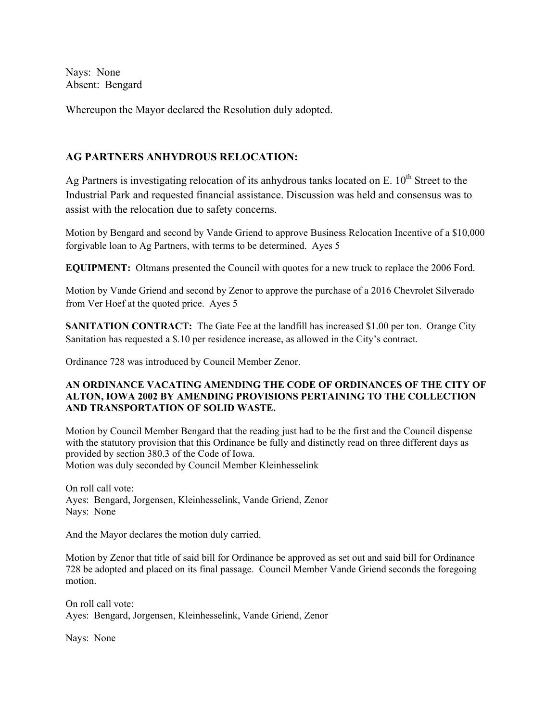Nays: None Absent: Bengard

Whereupon the Mayor declared the Resolution duly adopted.

## **AG PARTNERS ANHYDROUS RELOCATION:**

Ag Partners is investigating relocation of its anhydrous tanks located on E.  $10^{th}$  Street to the Industrial Park and requested financial assistance. Discussion was held and consensus was to assist with the relocation due to safety concerns.

Motion by Bengard and second by Vande Griend to approve Business Relocation Incentive of a \$10,000 forgivable loan to Ag Partners, with terms to be determined. Ayes 5

**EQUIPMENT:** Oltmans presented the Council with quotes for a new truck to replace the 2006 Ford.

Motion by Vande Griend and second by Zenor to approve the purchase of a 2016 Chevrolet Silverado from Ver Hoef at the quoted price. Ayes 5

**SANITATION CONTRACT:** The Gate Fee at the landfill has increased \$1.00 per ton. Orange City Sanitation has requested a \$.10 per residence increase, as allowed in the City's contract.

Ordinance 728 was introduced by Council Member Zenor.

#### **AN ORDINANCE VACATING AMENDING THE CODE OF ORDINANCES OF THE CITY OF ALTON, IOWA 2002 BY AMENDING PROVISIONS PERTAINING TO THE COLLECTION AND TRANSPORTATION OF SOLID WASTE.**

Motion by Council Member Bengard that the reading just had to be the first and the Council dispense with the statutory provision that this Ordinance be fully and distinctly read on three different days as provided by section 380.3 of the Code of Iowa. Motion was duly seconded by Council Member Kleinhesselink

On roll call vote: Ayes: Bengard, Jorgensen, Kleinhesselink, Vande Griend, Zenor Nays: None

And the Mayor declares the motion duly carried.

Motion by Zenor that title of said bill for Ordinance be approved as set out and said bill for Ordinance 728 be adopted and placed on its final passage. Council Member Vande Griend seconds the foregoing motion.

On roll call vote: Ayes: Bengard, Jorgensen, Kleinhesselink, Vande Griend, Zenor

Nays: None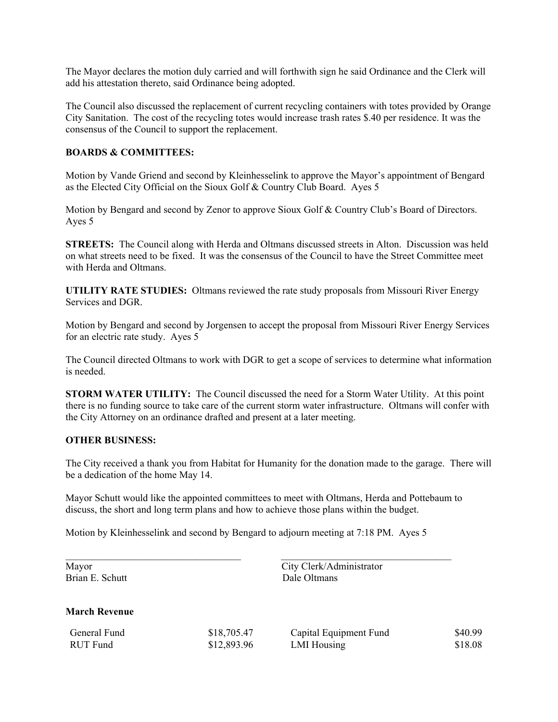The Mayor declares the motion duly carried and will forthwith sign he said Ordinance and the Clerk will add his attestation thereto, said Ordinance being adopted.

The Council also discussed the replacement of current recycling containers with totes provided by Orange City Sanitation. The cost of the recycling totes would increase trash rates \$.40 per residence. It was the consensus of the Council to support the replacement.

#### **BOARDS & COMMITTEES:**

Motion by Vande Griend and second by Kleinhesselink to approve the Mayor's appointment of Bengard as the Elected City Official on the Sioux Golf & Country Club Board. Ayes 5

Motion by Bengard and second by Zenor to approve Sioux Golf & Country Club's Board of Directors. Ayes 5

**STREETS:** The Council along with Herda and Oltmans discussed streets in Alton. Discussion was held on what streets need to be fixed. It was the consensus of the Council to have the Street Committee meet with Herda and Oltmans.

**UTILITY RATE STUDIES:** Oltmans reviewed the rate study proposals from Missouri River Energy Services and DGR.

Motion by Bengard and second by Jorgensen to accept the proposal from Missouri River Energy Services for an electric rate study. Ayes 5

The Council directed Oltmans to work with DGR to get a scope of services to determine what information is needed.

**STORM WATER UTILITY:** The Council discussed the need for a Storm Water Utility. At this point there is no funding source to take care of the current storm water infrastructure. Oltmans will confer with the City Attorney on an ordinance drafted and present at a later meeting.

#### **OTHER BUSINESS:**

The City received a thank you from Habitat for Humanity for the donation made to the garage. There will be a dedication of the home May 14.

Mayor Schutt would like the appointed committees to meet with Oltmans, Herda and Pottebaum to discuss, the short and long term plans and how to achieve those plans within the budget.

 $\mathcal{L}_\text{max} = \mathcal{L}_\text{max} = \mathcal{L}_\text{max} = \mathcal{L}_\text{max} = \mathcal{L}_\text{max} = \mathcal{L}_\text{max} = \mathcal{L}_\text{max} = \mathcal{L}_\text{max} = \mathcal{L}_\text{max} = \mathcal{L}_\text{max} = \mathcal{L}_\text{max} = \mathcal{L}_\text{max} = \mathcal{L}_\text{max} = \mathcal{L}_\text{max} = \mathcal{L}_\text{max} = \mathcal{L}_\text{max} = \mathcal{L}_\text{max} = \mathcal{L}_\text{max} = \mathcal{$ 

Motion by Kleinhesselink and second by Bengard to adjourn meeting at 7:18 PM. Ayes 5

Mayor City Clerk/Administrator Brian E. Schutt Dale Oltmans

### **March Revenue**

| General Fund    |  |
|-----------------|--|
| <b>RUT</b> Fund |  |

| \$18,705.47 |  |
|-------------|--|
| \$12,893.96 |  |

Capital Equipment Fund \$40.99 LMI Housing \$18.08